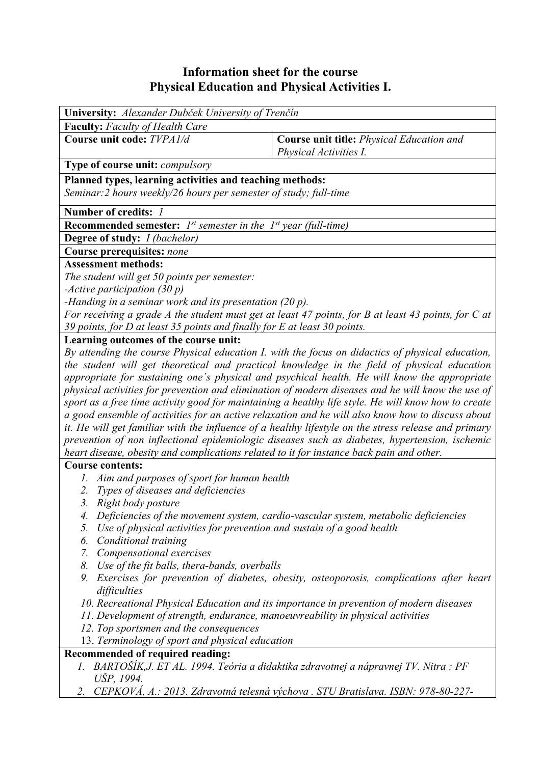## **Information sheet for the course Physical Education and Physical Activities I.**

| University: Alexander Dubček University of Trenčín                                                                                                                                                     |                                                                                              |  |  |  |  |
|--------------------------------------------------------------------------------------------------------------------------------------------------------------------------------------------------------|----------------------------------------------------------------------------------------------|--|--|--|--|
| <b>Faculty:</b> Faculty of Health Care                                                                                                                                                                 |                                                                                              |  |  |  |  |
| Course unit code: TVPA1/d                                                                                                                                                                              | <b>Course unit title: Physical Education and</b><br>Physical Activities I.                   |  |  |  |  |
| Type of course unit: compulsory                                                                                                                                                                        |                                                                                              |  |  |  |  |
| Planned types, learning activities and teaching methods:<br>Seminar: 2 hours weekly/26 hours per semester of study; full-time                                                                          |                                                                                              |  |  |  |  |
| Number of credits: 1                                                                                                                                                                                   |                                                                                              |  |  |  |  |
| <b>Recommended semester:</b> $I^{st}$ semester in the $I^{st}$ year (full-time)                                                                                                                        |                                                                                              |  |  |  |  |
| Degree of study: <i>I (bachelor)</i>                                                                                                                                                                   |                                                                                              |  |  |  |  |
| Course prerequisites: none                                                                                                                                                                             |                                                                                              |  |  |  |  |
| <b>Assessment methods:</b>                                                                                                                                                                             |                                                                                              |  |  |  |  |
| The student will get 50 points per semester:                                                                                                                                                           |                                                                                              |  |  |  |  |
| -Active participation $(30 p)$                                                                                                                                                                         |                                                                                              |  |  |  |  |
| -Handing in a seminar work and its presentation $(20 p)$ .                                                                                                                                             |                                                                                              |  |  |  |  |
| For receiving a grade A the student must get at least 47 points, for B at least 43 points, for C at                                                                                                    |                                                                                              |  |  |  |  |
| 39 points, for D at least 35 points and finally for E at least 30 points.                                                                                                                              |                                                                                              |  |  |  |  |
| Learning outcomes of the course unit:                                                                                                                                                                  |                                                                                              |  |  |  |  |
| By attending the course Physical education I. with the focus on didactics of physical education,                                                                                                       |                                                                                              |  |  |  |  |
| the student will get theoretical and practical knowledge in the field of physical education                                                                                                            |                                                                                              |  |  |  |  |
|                                                                                                                                                                                                        | appropriate for sustaining one's physical and psychical health. He will know the appropriate |  |  |  |  |
| physical activities for prevention and elimination of modern diseases and he will know the use of                                                                                                      |                                                                                              |  |  |  |  |
| sport as a free time activity good for maintaining a healthy life style. He will know how to create                                                                                                    |                                                                                              |  |  |  |  |
| a good ensemble of activities for an active relaxation and he will also know how to discuss about                                                                                                      |                                                                                              |  |  |  |  |
| it. He will get familiar with the influence of a healthy lifestyle on the stress release and primary<br>prevention of non inflectional epidemiologic diseases such as diabetes, hypertension, ischemic |                                                                                              |  |  |  |  |
|                                                                                                                                                                                                        |                                                                                              |  |  |  |  |
| heart disease, obesity and complications related to it for instance back pain and other.<br><b>Course contents:</b>                                                                                    |                                                                                              |  |  |  |  |
|                                                                                                                                                                                                        |                                                                                              |  |  |  |  |
| 1. Aim and purposes of sport for human health                                                                                                                                                          |                                                                                              |  |  |  |  |
| 2. Types of diseases and deficiencies                                                                                                                                                                  |                                                                                              |  |  |  |  |
| 3. Right body posture                                                                                                                                                                                  |                                                                                              |  |  |  |  |
| Deficiencies of the movement system, cardio-vascular system, metabolic deficiencies<br>Use of physical activities for prevention and sustain of a good health<br>5.                                    |                                                                                              |  |  |  |  |
| Conditional training<br>6.                                                                                                                                                                             |                                                                                              |  |  |  |  |
| 7. Compensational exercises                                                                                                                                                                            |                                                                                              |  |  |  |  |
| Use of the fit balls, thera-bands, overballs<br>8.                                                                                                                                                     |                                                                                              |  |  |  |  |
| 9. Exercises for prevention of diabetes, obesity, osteoporosis, complications after heart                                                                                                              |                                                                                              |  |  |  |  |
| difficulties                                                                                                                                                                                           |                                                                                              |  |  |  |  |
| 10. Recreational Physical Education and its importance in prevention of modern diseases                                                                                                                |                                                                                              |  |  |  |  |
| 11. Development of strength, endurance, manoeuvreability in physical activities                                                                                                                        |                                                                                              |  |  |  |  |
| 12. Top sportsmen and the consequences                                                                                                                                                                 |                                                                                              |  |  |  |  |
| 13. Terminology of sport and physical education                                                                                                                                                        |                                                                                              |  |  |  |  |
| Recommended of required reading:                                                                                                                                                                       |                                                                                              |  |  |  |  |
| 1. BARTOŠÍK, J. ET AL. 1994. Teória a didaktika zdravotnej a nápravnej TV. Nitra : PF                                                                                                                  |                                                                                              |  |  |  |  |
| UŠP, 1994.                                                                                                                                                                                             |                                                                                              |  |  |  |  |
| CEPKOVÁ, A.: 2013. Zdravotná telesná výchova . STU Bratislava. ISBN: 978-80-227-<br>2.                                                                                                                 |                                                                                              |  |  |  |  |